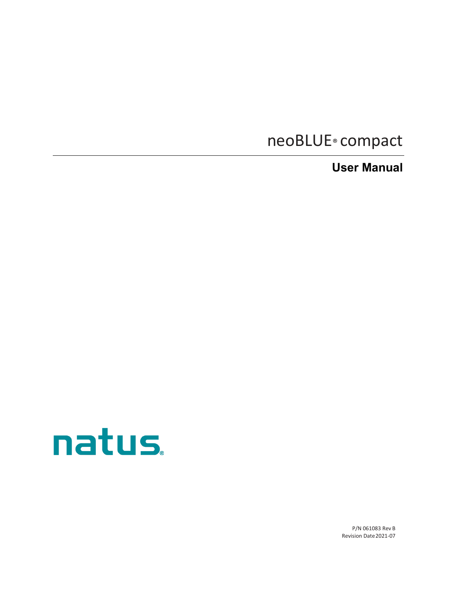# neoBLUE® compact

**User Manual**



P/N 061083 Rev B Revision Date2021-07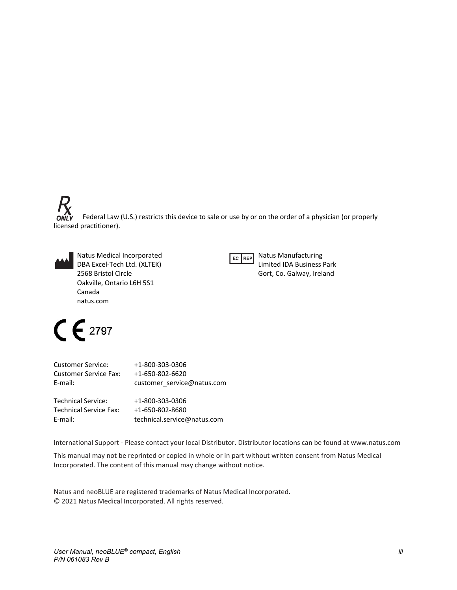Federal Law (U.S.) restricts this device to sale or use by or on the order of a physician (or properly ON licensed practitioner).

Natus Medical Incorporated DBA Excel-Tech Ltd. (XLTEK) 2568 Bristol Circle Oakville, Ontario L6H 5S1 Canada natus.com



Natus Manufacturing Limited IDA Business Park Gort, Co. Galway, Ireland

# $C \in 2797$

| <b>Customer Service:</b>      | +1-800-303-0306             |
|-------------------------------|-----------------------------|
| <b>Customer Service Fax:</b>  | +1-650-802-6620             |
| E-mail:                       | customer service@natus.com  |
| <b>Technical Service:</b>     | +1-800-303-0306             |
| <b>Technical Service Fax:</b> | +1-650-802-8680             |
| E-mail:                       | technical.service@natus.com |

International Support - Please contact your local Distributor. Distributor locations can be found at [www.natus.com](http://www.natus.com/)

This manual may not be reprinted or copied in whole or in part without written consent from Natus Medical Incorporated. The content of this manual may change without notice.

Natus and neoBLUE are registered trademarks of Natus Medical Incorporated. © 2021 Natus Medical Incorporated. All rights reserved.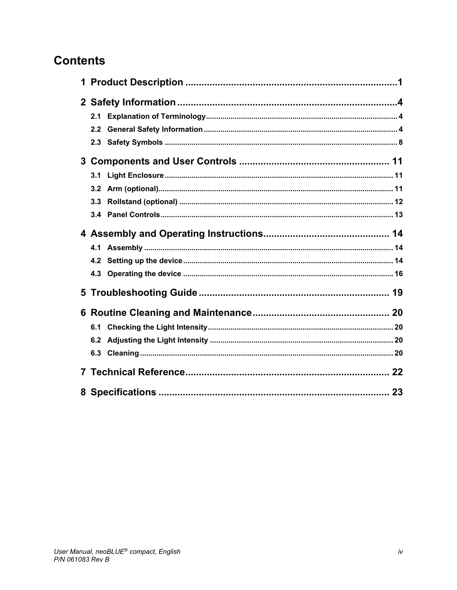# **Contents**

| 2.1 |  |
|-----|--|
| 2.2 |  |
|     |  |
|     |  |
|     |  |
|     |  |
|     |  |
|     |  |
|     |  |
|     |  |
|     |  |
|     |  |
|     |  |
|     |  |
| 6.1 |  |
| 6.2 |  |
|     |  |
|     |  |
|     |  |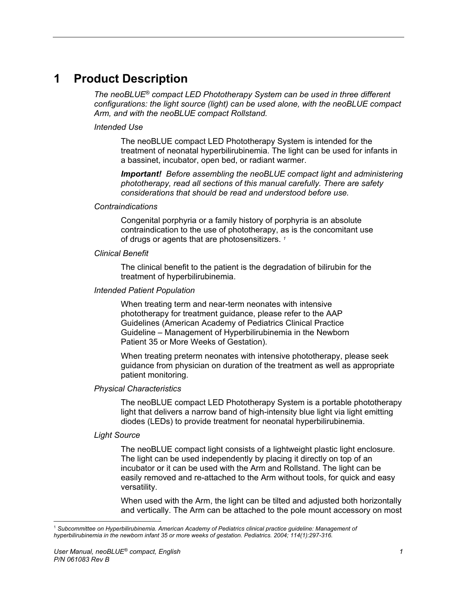# **1 Product Description**

*The neoBLUE® compact LED Phototherapy System can be used in three different configurations: the light source (light) can be used alone, with the neoBLUE compact Arm, and with the neoBLUE compact Rollstand.*

#### *Intended Use*

The neoBLUE compact LED Phototherapy System is intended for the treatment of neonatal hyperbilirubinemia. The light can be used for infants in a bassinet, incubator, open bed, or radiant warmer.

*Important! Before assembling the neoBLUE compact light and administering phototherapy, read all sections of this manual carefully. There are safety considerations that should be read and understood before use.*

#### *Contraindications*

Congenital porphyria or a family history of porphyria is an absolute contraindication to the use of phototherapy, as is the concomitant use of drugs or agents that are photosensitizers. *[1](#page-3-0)*

#### *Clinical Benefit*

The clinical benefit to the patient is the degradation of bilirubin for the treatment of hyperbilirubinemia.

#### *Intended Patient Population*

When treating term and near-term neonates with intensive phototherapy for treatment guidance, please refer to the AAP Guidelines (American Academy of Pediatrics Clinical Practice Guideline – Management of Hyperbilirubinemia in the Newborn Patient 35 or More Weeks of Gestation).

When treating preterm neonates with intensive phototherapy, please seek guidance from physician on duration of the treatment as well as appropriate patient monitoring.

#### *Physical Characteristics*

The neoBLUE compact LED Phototherapy System is a portable phototherapy light that delivers a narrow band of high-intensity blue light via light emitting diodes (LEDs) to provide treatment for neonatal hyperbilirubinemia.

#### *Light Source*

The neoBLUE compact light consists of a lightweight plastic light enclosure. The light can be used independently by placing it directly on top of an incubator or it can be used with the Arm and Rollstand. The light can be easily removed and re-attached to the Arm without tools, for quick and easy versatility.

When used with the Arm, the light can be tilted and adjusted both horizontally and vertically. The Arm can be attached to the pole mount accessory on most

<span id="page-3-0"></span><sup>1</sup> *Subcommittee on Hyperbilirubinemia. American Academy of Pediatrics clinical practice guideline: Management of hyperbilirubinemia in the newborn infant 35 or more weeks of gestation. Pediatrics. 2004; 114(1):297-316.*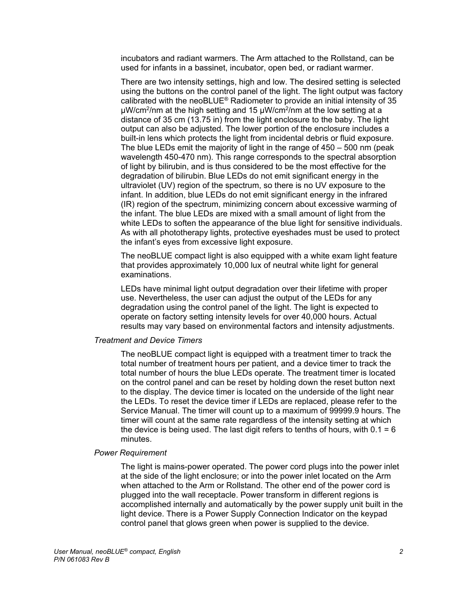incubators and radiant warmers. The Arm attached to the Rollstand, can be used for infants in a bassinet, incubator, open bed, or radiant warmer.

There are two intensity settings, high and low. The desired setting is selected using the buttons on the control panel of the light. The light output was factory calibrated with the neoBLUE® Radiometer to provide an initial intensity of 35 µW/cm2/nm at the high setting and 15 µW/cm2/nm at the low setting at a distance of 35 cm (13.75 in) from the light enclosure to the baby. The light output can also be adjusted. The lower portion of the enclosure includes a built-in lens which protects the light from incidental debris or fluid exposure. The blue LEDs emit the majority of light in the range of 450 – 500 nm (peak wavelength 450-470 nm). This range corresponds to the spectral absorption of light by bilirubin, and is thus considered to be the most effective for the degradation of bilirubin. Blue LEDs do not emit significant energy in the ultraviolet (UV) region of the spectrum, so there is no UV exposure to the infant. In addition, blue LEDs do not emit significant energy in the infrared (IR) region of the spectrum, minimizing concern about excessive warming of the infant. The blue LEDs are mixed with a small amount of light from the white LEDs to soften the appearance of the blue light for sensitive individuals. As with all phototherapy lights, protective eyeshades must be used to protect the infant's eyes from excessive light exposure.

The neoBLUE compact light is also equipped with a white exam light feature that provides approximately 10,000 lux of neutral white light for general examinations.

LEDs have minimal light output degradation over their lifetime with proper use. Nevertheless, the user can adjust the output of the LEDs for any degradation using the control panel of the light. The light is expected to operate on factory setting intensity levels for over 40,000 hours. Actual results may vary based on environmental factors and intensity adjustments.

#### *Treatment and Device Timers*

The neoBLUE compact light is equipped with a treatment timer to track the total number of treatment hours per patient, and a device timer to track the total number of hours the blue LEDs operate. The treatment timer is located on the control panel and can be reset by holding down the reset button next to the display. The device timer is located on the underside of the light near the LEDs. To reset the device timer if LEDs are replaced, please refer to the Service Manual. The timer will count up to a maximum of 99999.9 hours. The timer will count at the same rate regardless of the intensity setting at which the device is being used. The last digit refers to tenths of hours, with  $0.1 = 6$ minutes.

#### *Power Requirement*

The light is mains-power operated. The power cord plugs into the power inlet at the side of the light enclosure; or into the power inlet located on the Arm when attached to the Arm or Rollstand. The other end of the power cord is plugged into the wall receptacle. Power transform in different regions is accomplished internally and automatically by the power supply unit built in the light device. There is a Power Supply Connection Indicator on the keypad control panel that glows green when power is supplied to the device.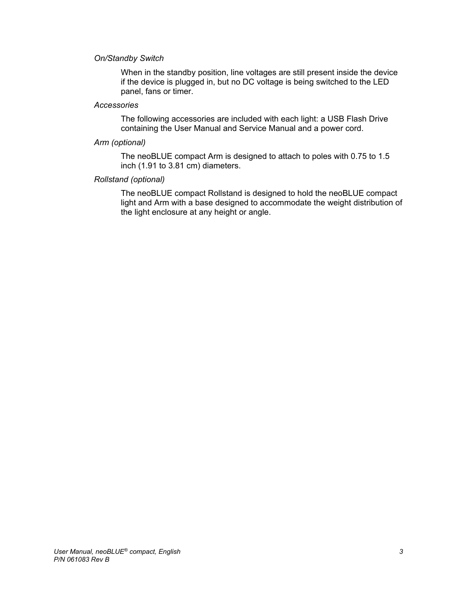### *On/Standby Switch*

When in the standby position, line voltages are still present inside the device if the device is plugged in, but no DC voltage is being switched to the LED panel, fans or timer.

#### *Accessories*

The following accessories are included with each light: a USB Flash Drive containing the User Manual and Service Manual and a power cord.

#### *Arm (optional)*

The neoBLUE compact Arm is designed to attach to poles with 0.75 to 1.5 inch (1.91 to 3.81 cm) diameters.

#### *Rollstand (optional)*

The neoBLUE compact Rollstand is designed to hold the neoBLUE compact light and Arm with a base designed to accommodate the weight distribution of the light enclosure at any height or angle.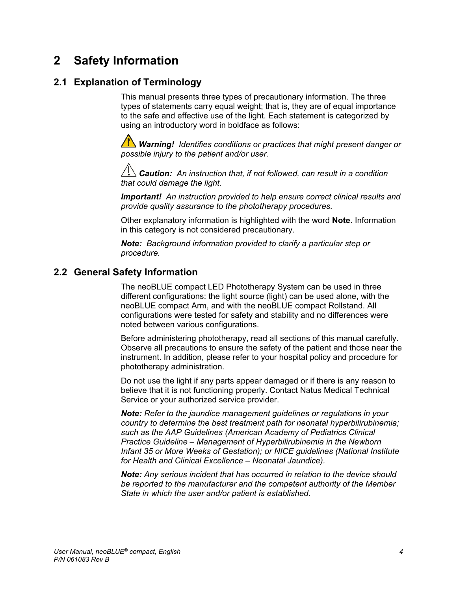# **2 Safety Information**

### **2.1 Explanation of Terminology**

This manual presents three types of precautionary information. The three types of statements carry equal weight; that is, they are of equal importance to the safe and effective use of the light. Each statement is categorized by using an introductory word in boldface as follows:

**/!\** Warning! Identifies conditions or practices that might present danger or *possible injury to the patient and/or user.*

 $\overline{\Delta}$  **Caution:** An instruction that, if not followed, can result in a condition *that could damage the light.*

*Important! An instruction provided to help ensure correct clinical results and provide quality assurance to the phototherapy procedures.*

Other explanatory information is highlighted with the word **Note**. Information in this category is not considered precautionary.

*Note: Background information provided to clarify a particular step or procedure.* 

### **2.2 General Safety Information**

The neoBLUE compact LED Phototherapy System can be used in three different configurations: the light source (light) can be used alone, with the neoBLUE compact Arm, and with the neoBLUE compact Rollstand. All configurations were tested for safety and stability and no differences were noted between various configurations.

Before administering phototherapy, read all sections of this manual carefully. Observe all precautions to ensure the safety of the patient and those near the instrument. In addition, please refer to your hospital policy and procedure for phototherapy administration.

Do not use the light if any parts appear damaged or if there is any reason to believe that it is not functioning properly. Contact Natus Medical Technical Service or your authorized service provider.

*Note: Refer to the jaundice management guidelines or regulations in your country to determine the best treatment path for neonatal hyperbilirubinemia; such as the AAP Guidelines (American Academy of Pediatrics Clinical Practice Guideline – Management of Hyperbilirubinemia in the Newborn Infant 35 or More Weeks of Gestation); or NICE guidelines (National Institute for Health and Clinical Excellence – Neonatal Jaundice).*

*Note: Any serious incident that has occurred in relation to the device should be reported to the manufacturer and the competent authority of the Member State in which the user and/or patient is established.*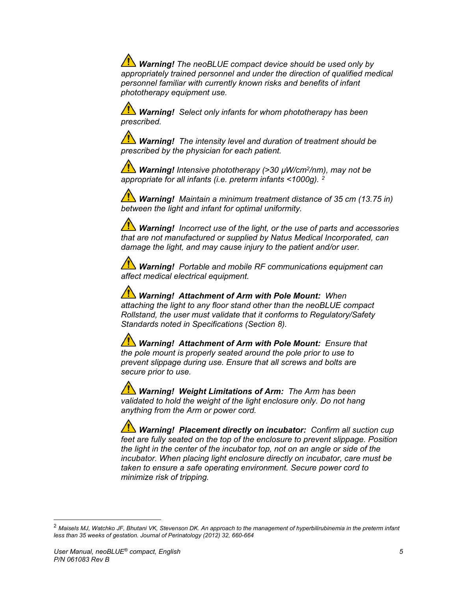**Warning!** The neoBLUE compact device should be used only by *appropriately trained personnel and under the direction of qualified medical personnel familiar with currently known risks and benefits of infant phototherapy equipment use.*

*Warning! Select only infants for whom phototherapy has been prescribed.*

*Warning! The intensity level and duration of treatment should be prescribed by the physician for each patient.* 

*Warning! Intensive phototherapy (>30 µW/cm2/nm), may not be appropriate for all infants (i.e. preterm infants <1000g). [2](#page-7-0)*

*Warning! Maintain a minimum treatment distance of 35 cm (13.75 in) between the light and infant for optimal uniformity.*

*Warning! Incorrect use of the light, or the use of parts and accessories that are not manufactured or supplied by Natus Medical Incorporated, can damage the light, and may cause injury to the patient and/or user.*

*Warning! Portable and mobile RF communications equipment can affect medical electrical equipment.*

 *Warning! Attachment of Arm with Pole Mount: When attaching the light to any floor stand other than the neoBLUE compact Rollstand, the user must validate that it conforms to Regulatory/Safety Standards noted in Specifications (Section 8).*

 *Warning! Attachment of Arm with Pole Mount: Ensure that the pole mount is properly seated around the pole prior to use to prevent slippage during use. Ensure that all screws and bolts are secure prior to use.*

 *Warning! Weight Limitations of Arm: The Arm has been validated to hold the weight of the light enclosure only. Do not hang anything from the Arm or power cord.*

*Warning! Placement directly on incubator: Confirm all suction cup feet are fully seated on the top of the enclosure to prevent slippage. Position the light in the center of the incubator top, not on an angle or side of the incubator. When placing light enclosure directly on incubator, care must be taken to ensure a safe operating environment. Secure power cord to minimize risk of tripping.* 

<span id="page-7-0"></span><sup>2</sup> *Maisels MJ, Watchko JF, Bhutani VK, Stevenson DK. An approach to the management of hyperbilirubinemia in the preterm infant less than 35 weeks of gestation. Journal of Perinatology (2012) 32, 660-664*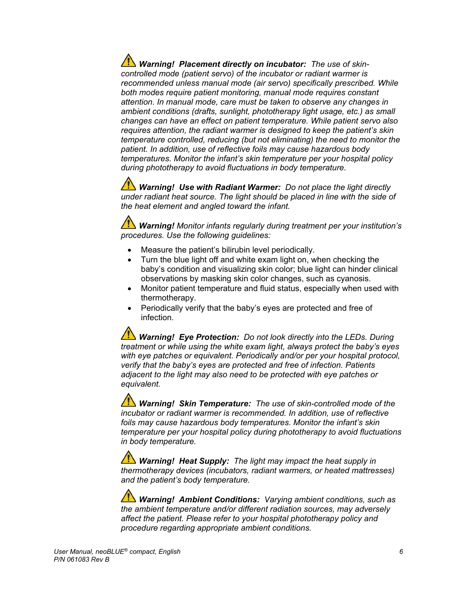**Warning! Placement directly on incubator:** The use of skin*controlled mode (patient servo) of the incubator or radiant warmer is recommended unless manual mode (air servo) specifically prescribed. While both modes require patient monitoring, manual mode requires constant attention. In manual mode, care must be taken to observe any changes in ambient conditions (drafts, sunlight, phototherapy light usage, etc.) as small changes can have an effect on patient temperature. While patient servo also requires attention, the radiant warmer is designed to keep the patient's skin temperature controlled, reducing (but not eliminating) the need to monitor the patient. In addition, use of reflective foils may cause hazardous body temperatures. Monitor the infant's skin temperature per your hospital policy during phototherapy to avoid fluctuations in body temperature.* 

*Warning! Use with Radiant Warmer: Do not place the light directly under radiant heat source. The light should be placed in line with the side of the heat element and angled toward the infant.*

*Warning! Monitor infants regularly during treatment per your institution's procedures. Use the following guidelines:* 

- Measure the patient's bilirubin level periodically.
- Turn the blue light off and white exam light on, when checking the baby's condition and visualizing skin color; blue light can hinder clinical observations by masking skin color changes, such as cyanosis.
- Monitor patient temperature and fluid status, especially when used with thermotherapy.
- Periodically verify that the baby's eyes are protected and free of infection.

*Warning! Eye Protection: Do not look directly into the LEDs. During treatment or while using the white exam light, always protect the baby's eyes with eye patches or equivalent. Periodically and/or per your hospital protocol, verify that the baby's eyes are protected and free of infection. Patients adjacent to the light may also need to be protected with eye patches or equivalent.* 

 *Warning! Skin Temperature: The use of skin-controlled mode of the incubator or radiant warmer is recommended. In addition, use of reflective foils may cause hazardous body temperatures. Monitor the infant's skin temperature per your hospital policy during phototherapy to avoid fluctuations in body temperature.* 

 *Warning! Heat Supply: The light may impact the heat supply in thermotherapy devices (incubators, radiant warmers, or heated mattresses) and the patient's body temperature.*

 *Warning! Ambient Conditions: Varying ambient conditions, such as the ambient temperature and/or different radiation sources, may adversely affect the patient. Please refer to your hospital phototherapy policy and procedure regarding appropriate ambient conditions.*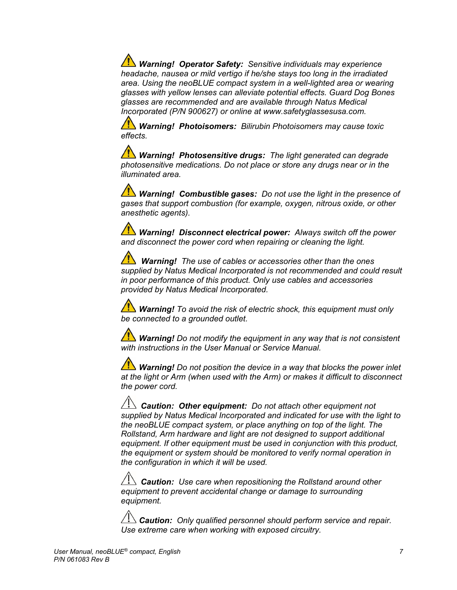*Warning! Operator Safety: Sensitive individuals may experience headache, nausea or mild vertigo if he/she stays too long in the irradiated area. Using the neoBLUE compact system in a well-lighted area or wearing glasses with yellow lenses can alleviate potential effects. Guard Dog Bones glasses are recommended and are available through Natus Medical Incorporated (P/N 900627) or online at www.safetyglassesusa.com.* 

 *Warning! Photoisomers: Bilirubin Photoisomers may cause toxic effects.* 

*Warning! Photosensitive drugs: The light generated can degrade photosensitive medications. Do not place or store any drugs near or in the illuminated area.*

*Warning! Combustible gases: Do not use the light in the presence of gases that support combustion (for example, oxygen, nitrous oxide, or other anesthetic agents).*

*1 Warning! Disconnect electrical power: Always switch off the power and disconnect the power cord when repairing or cleaning the light.*

 *Warning!**The use of cables or accessories other than the ones supplied by Natus Medical Incorporated is not recommended and could result in poor performance of this product. Only use cables and accessories provided by Natus Medical Incorporated.*

*Warning! To avoid the risk of electric shock, this equipment must only be connected to a grounded outlet.*

*Warning! Do not modify the equipment in any way that is not consistent with instructions in the User Manual or Service Manual.*

*Warning! Do not position the device in a way that blocks the power inlet at the light or Arm (when used with the Arm) or makes it difficult to disconnect the power cord.* 

 $\overline{\Delta}$ **Caution: Other equipment:** Do not attach other equipment not *supplied by Natus Medical Incorporated and indicated for use with the light to the neoBLUE compact system, or place anything on top of the light. The Rollstand, Arm hardware and light are not designed to support additional equipment. If other equipment must be used in conjunction with this product, the equipment or system should be monitored to verify normal operation in the configuration in which it will be used.*

 *Caution: Use care when repositioning the Rollstand around other equipment to prevent accidental change or damage to surrounding equipment.*

 $\angle$ <sup>1</sup>. Caution: Only qualified personnel should perform service and repair. *Use extreme care when working with exposed circuitry.*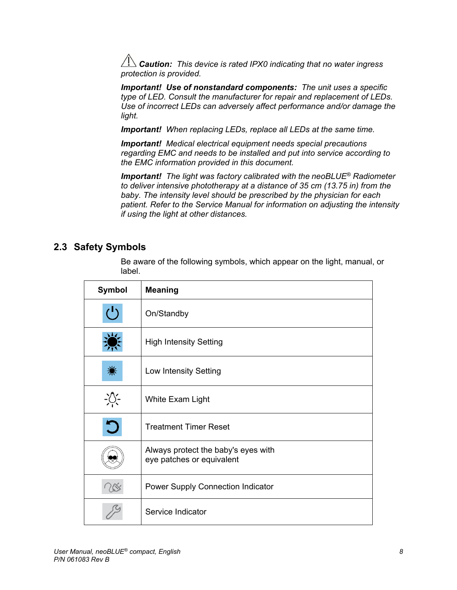*Caution: This device is rated IPX0 indicating that no water ingress protection is provided.*

*Important! Use of nonstandard components: The unit uses a specific type of LED. Consult the manufacturer for repair and replacement of LEDs. Use of incorrect LEDs can adversely affect performance and/or damage the light.*

*Important! When replacing LEDs, replace all LEDs at the same time.*

*Important! Medical electrical equipment needs special precautions regarding EMC and needs to be installed and put into service according to the EMC information provided in this document.*

*Important! The light was factory calibrated with the neoBLUE® Radiometer to deliver intensive phototherapy at a distance of 35 cm (13.75 in) from the baby. The intensity level should be prescribed by the physician for each patient. Refer to the Service Manual for information on adjusting the intensity if using the light at other distances.*

### **2.3 Safety Symbols**

Be aware of the following symbols, which appear on the light, manual, or label.

| <b>Symbol</b>     | <b>Meaning</b>                                                   |  |
|-------------------|------------------------------------------------------------------|--|
| $(\cdot)$         | On/Standby                                                       |  |
|                   | <b>High Intensity Setting</b>                                    |  |
|                   | Low Intensity Setting                                            |  |
| $-\sum_{i=1}^{n}$ | White Exam Light                                                 |  |
|                   | <b>Treatment Timer Reset</b>                                     |  |
|                   | Always protect the baby's eyes with<br>eye patches or equivalent |  |
|                   | <b>Power Supply Connection Indicator</b>                         |  |
|                   | Service Indicator                                                |  |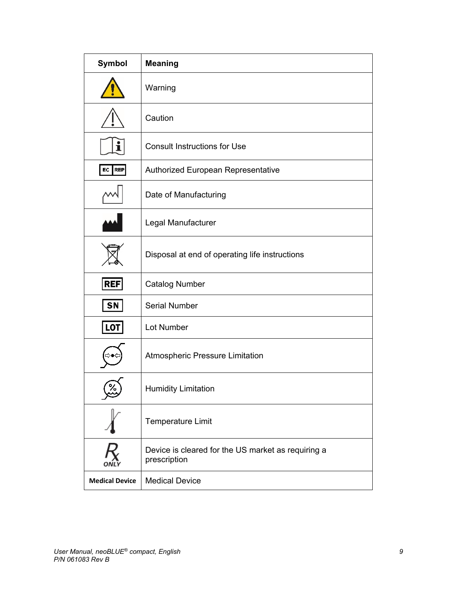| Symbol                | <b>Meaning</b>                                                     |  |
|-----------------------|--------------------------------------------------------------------|--|
|                       | Warning                                                            |  |
|                       | Caution                                                            |  |
|                       | <b>Consult Instructions for Use</b>                                |  |
| EC REP                | <b>Authorized European Representative</b>                          |  |
|                       | Date of Manufacturing                                              |  |
|                       | Legal Manufacturer                                                 |  |
|                       | Disposal at end of operating life instructions                     |  |
| <b>REF</b>            | <b>Catalog Number</b>                                              |  |
| <b>SN</b>             | <b>Serial Number</b>                                               |  |
| LOT                   | Lot Number                                                         |  |
|                       | <b>Atmospheric Pressure Limitation</b>                             |  |
|                       | <b>Humidity Limitation</b>                                         |  |
|                       | <b>Temperature Limit</b>                                           |  |
|                       | Device is cleared for the US market as requiring a<br>prescription |  |
| <b>Medical Device</b> | <b>Medical Device</b>                                              |  |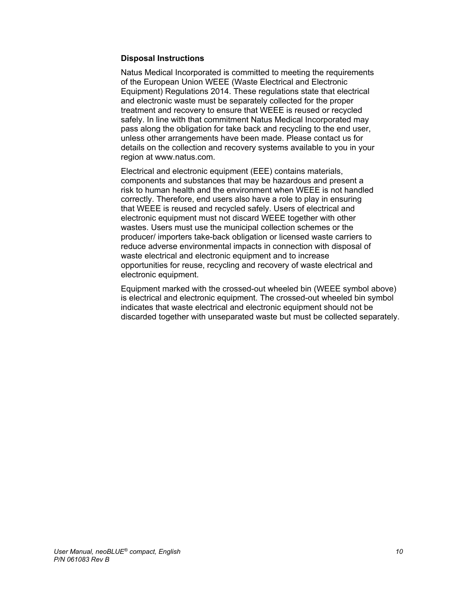### **Disposal Instructions**

Natus Medical Incorporated is committed to meeting the requirements of the European Union WEEE (Waste Electrical and Electronic Equipment) Regulations 2014. These regulations state that electrical and electronic waste must be separately collected for the proper treatment and recovery to ensure that WEEE is reused or recycled safely. In line with that commitment Natus Medical Incorporated may pass along the obligation for take back and recycling to the end user, unless other arrangements have been made. Please contact us for details on the collection and recovery systems available to you in your region at www.natus.com.

Electrical and electronic equipment (EEE) contains materials, components and substances that may be hazardous and present a risk to human health and the environment when WEEE is not handled correctly. Therefore, end users also have a role to play in ensuring that WEEE is reused and recycled safely. Users of electrical and electronic equipment must not discard WEEE together with other wastes. Users must use the municipal collection schemes or the producer/ importers take-back obligation or licensed waste carriers to reduce adverse environmental impacts in connection with disposal of waste electrical and electronic equipment and to increase opportunities for reuse, recycling and recovery of waste electrical and electronic equipment.

Equipment marked with the crossed-out wheeled bin (WEEE symbol above) is electrical and electronic equipment. The crossed-out wheeled bin symbol indicates that waste electrical and electronic equipment should not be discarded together with unseparated waste but must be collected separately.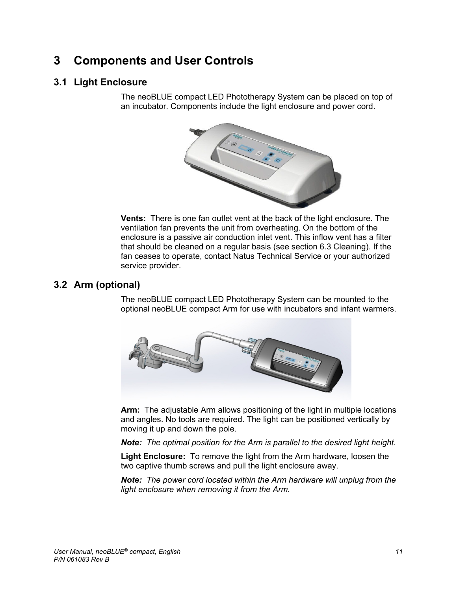# **3 Components and User Controls**

# **3.1 Light Enclosure**

The neoBLUE compact LED Phototherapy System can be placed on top of an incubator. Components include the light enclosure and power cord.



**Vents:** There is one fan outlet vent at the back of the light enclosure. The ventilation fan prevents the unit from overheating. On the bottom of the enclosure is a passive air conduction inlet vent. This inflow vent has a filter that should be cleaned on a regular basis (see section 6.3 Cleaning). If the fan ceases to operate, contact Natus Technical Service or your authorized service provider.

# **3.2 Arm (optional)**

The neoBLUE compact LED Phototherapy System can be mounted to the optional neoBLUE compact Arm for use with incubators and infant warmers.



**Arm:** The adjustable Arm allows positioning of the light in multiple locations and angles. No tools are required. The light can be positioned vertically by moving it up and down the pole.

*Note: The optimal position for the Arm is parallel to the desired light height.*

**Light Enclosure:** To remove the light from the Arm hardware, loosen the two captive thumb screws and pull the light enclosure away.

*Note: The power cord located within the Arm hardware will unplug from the light enclosure when removing it from the Arm.*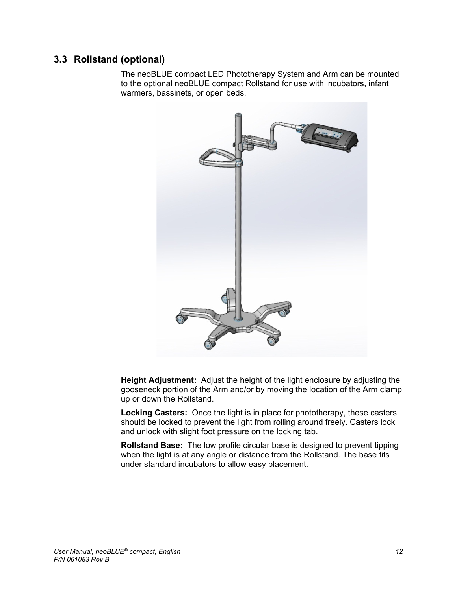# **3.3 Rollstand (optional)**

The neoBLUE compact LED Phototherapy System and Arm can be mounted to the optional neoBLUE compact Rollstand for use with incubators, infant warmers, bassinets, or open beds.



**Height Adjustment:** Adjust the height of the light enclosure by adjusting the gooseneck portion of the Arm and/or by moving the location of the Arm clamp up or down the Rollstand.

**Locking Casters:** Once the light is in place for phototherapy, these casters should be locked to prevent the light from rolling around freely. Casters lock and unlock with slight foot pressure on the locking tab.

**Rollstand Base:** The low profile circular base is designed to prevent tipping when the light is at any angle or distance from the Rollstand. The base fits under standard incubators to allow easy placement.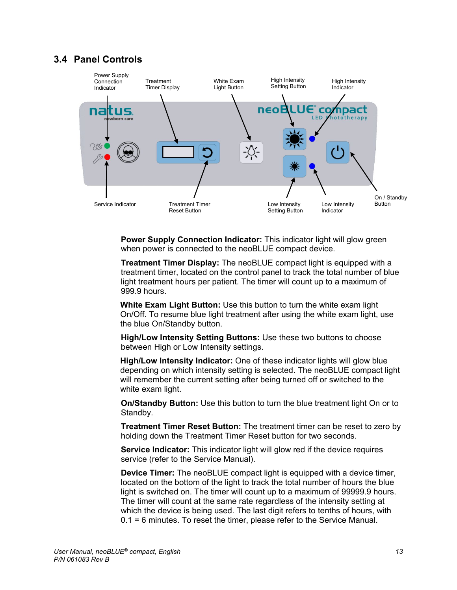### **3.4 Panel Controls**



**Power Supply Connection Indicator:** This indicator light will glow green when power is connected to the neoBLUE compact device.

**Treatment Timer Display:** The neoBLUE compact light is equipped with a treatment timer, located on the control panel to track the total number of blue light treatment hours per patient. The timer will count up to a maximum of 999.9 hours.

**White Exam Light Button:** Use this button to turn the white exam light On/Off. To resume blue light treatment after using the white exam light, use the blue On/Standby button.

**High/Low Intensity Setting Buttons:** Use these two buttons to choose between High or Low Intensity settings.

**High/Low Intensity Indicator:** One of these indicator lights will glow blue depending on which intensity setting is selected. The neoBLUE compact light will remember the current setting after being turned off or switched to the white exam light.

**On/Standby Button:** Use this button to turn the blue treatment light On or to Standby.

**Treatment Timer Reset Button:** The treatment timer can be reset to zero by holding down the Treatment Timer Reset button for two seconds.

**Service Indicator:** This indicator light will glow red if the device requires service (refer to the Service Manual).

**Device Timer:** The neoBLUE compact light is equipped with a device timer, located on the bottom of the light to track the total number of hours the blue light is switched on. The timer will count up to a maximum of 99999.9 hours. The timer will count at the same rate regardless of the intensity setting at which the device is being used. The last digit refers to tenths of hours, with 0.1 = 6 minutes. To reset the timer, please refer to the Service Manual.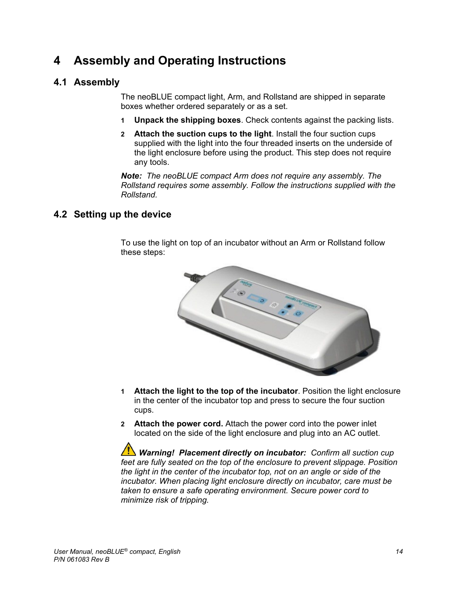# **4 Assembly and Operating Instructions**

# **4.1 Assembly**

The neoBLUE compact light, Arm, and Rollstand are shipped in separate boxes whether ordered separately or as a set.

- **1 Unpack the shipping boxes**. Check contents against the packing lists.
- **2 Attach the suction cups to the light**. Install the four suction cups supplied with the light into the four threaded inserts on the underside of the light enclosure before using the product. This step does not require any tools.

*Note: The neoBLUE compact Arm does not require any assembly. The Rollstand requires some assembly. Follow the instructions supplied with the Rollstand.* 

# **4.2 Setting up the device**

To use the light on top of an incubator without an Arm or Rollstand follow these steps:



- **1 Attach the light to the top of the incubator**. Position the light enclosure in the center of the incubator top and press to secure the four suction cups.
- **2 Attach the power cord.** Attach the power cord into the power inlet located on the side of the light enclosure and plug into an AC outlet.

*Warning! Placement directly on incubator: Confirm all suction cup feet are fully seated on the top of the enclosure to prevent slippage. Position the light in the center of the incubator top, not on an angle or side of the incubator. When placing light enclosure directly on incubator, care must be taken to ensure a safe operating environment. Secure power cord to minimize risk of tripping.*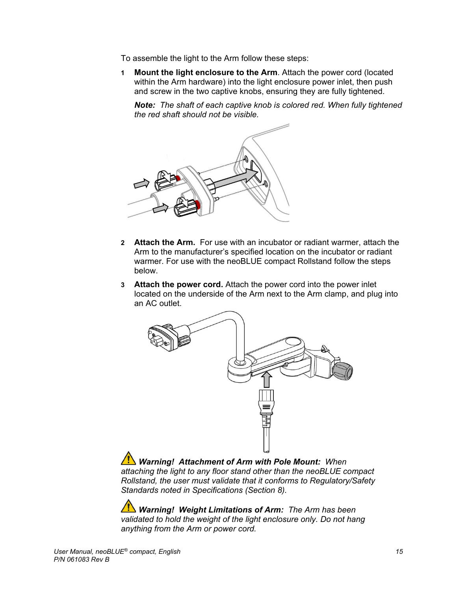To assemble the light to the Arm follow these steps:

**1 Mount the light enclosure to the Arm**. Attach the power cord (located within the Arm hardware) into the light enclosure power inlet, then push and screw in the two captive knobs, ensuring they are fully tightened.

*Note: The shaft of each captive knob is colored red. When fully tightened the red shaft should not be visible.*



- **2 Attach the Arm.** For use with an incubator or radiant warmer, attach the Arm to the manufacturer's specified location on the incubator or radiant warmer. For use with the neoBLUE compact Rollstand follow the steps below.
- **3 Attach the power cord.** Attach the power cord into the power inlet located on the underside of the Arm next to the Arm clamp, and plug into an AC outlet.



 *Warning! Attachment of Arm with Pole Mount: When attaching the light to any floor stand other than the neoBLUE compact Rollstand, the user must validate that it conforms to Regulatory/Safety Standards noted in Specifications (Section 8).*

 *Warning! Weight Limitations of Arm: The Arm has been validated to hold the weight of the light enclosure only. Do not hang anything from the Arm or power cord.*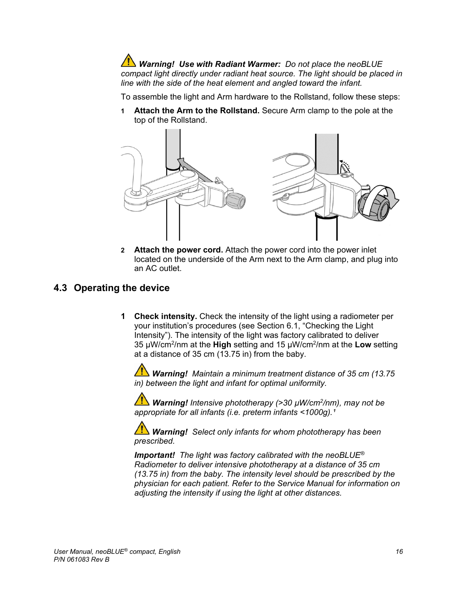*Warning! Use with Radiant Warmer: Do not place the neoBLUE compact light directly under radiant heat source. The light should be placed in line with the side of the heat element and angled toward the infant.*

To assemble the light and Arm hardware to the Rollstand, follow these steps:

**1 Attach the Arm to the Rollstand.** Secure Arm clamp to the pole at the top of the Rollstand.



**2 Attach the power cord.** Attach the power cord into the power inlet located on the underside of the Arm next to the Arm clamp, and plug into an AC outlet.

### **4.3 Operating the device**

**1 Check intensity.** Check the intensity of the light using a radiometer per your institution's procedures (see Section 6.1, "Checking the Light Intensity"). The intensity of the light was factory calibrated to deliver 35 µW/cm2/nm at the **High** setting and 15 µW/cm2/nm at the **Low** setting at a distance of 35 cm (13.75 in) from the baby.

*Warning! Maintain a minimum treatment distance of 35 cm (13.75 in) between the light and infant for optimal uniformity.*

 *Warning! Intensive phototherapy (>30 µW/cm2/nm), may not be*  appropriate for all infants (i.e. preterm infants <1000g).<sup>1</sup>

 *Warning! Select only infants for whom phototherapy has been prescribed.*

*Important! The light was factory calibrated with the neoBLUE® Radiometer to deliver intensive phototherapy at a distance of 35 cm (13.75 in) from the baby. The intensity level should be prescribed by the physician for each patient. Refer to the Service Manual for information on adjusting the intensity if using the light at other distances.*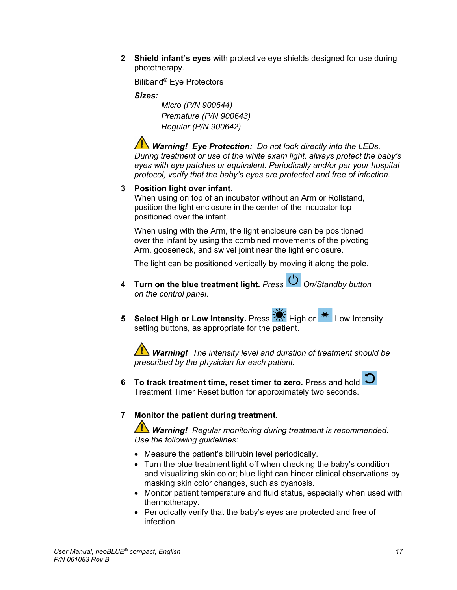**2 Shield infant's eyes** with protective eye shields designed for use during phototherapy.

Biliband® Eye Protectors

### *Sizes:*

 *Micro (P/N 900644) Premature (P/N 900643) Regular (P/N 900642)*

*Warning! Eye Protection: Do not look directly into the LEDs. During treatment or use of the white exam light, always protect the baby's eyes with eye patches or equivalent. Periodically and/or per your hospital protocol, verify that the baby's eyes are protected and free of infection.* 

### **3 Position light over infant.**

When using on top of an incubator without an Arm or Rollstand, position the light enclosure in the center of the incubator top positioned over the infant.

When using with the Arm, the light enclosure can be positioned over the infant by using the combined movements of the pivoting Arm, gooseneck, and swivel joint near the light enclosure.

The light can be positioned vertically by moving it along the pole.

- **4 Turn on the blue treatment light.** *Press On/Standby button on the control panel.*
- **5 Select High or Low Intensity.** Press  $\mathbb{R}^3$  High or  $\frac{1}{100}$  Low Intensity setting buttons, as appropriate for the patient.

*Warning! The intensity level and duration of treatment should be prescribed by the physician for each patient.* 

**6 To track treatment time, reset timer to zero.** Press and hold **.** Treatment Timer Reset button for approximately two seconds.

### **7 Monitor the patient during treatment.**

*Warning! Regular monitoring during treatment is recommended. Use the following guidelines:*

- Measure the patient's bilirubin level periodically.
- Turn the blue treatment light off when checking the baby's condition and visualizing skin color; blue light can hinder clinical observations by masking skin color changes, such as cyanosis.
- Monitor patient temperature and fluid status, especially when used with thermotherapy.
- Periodically verify that the baby's eyes are protected and free of infection.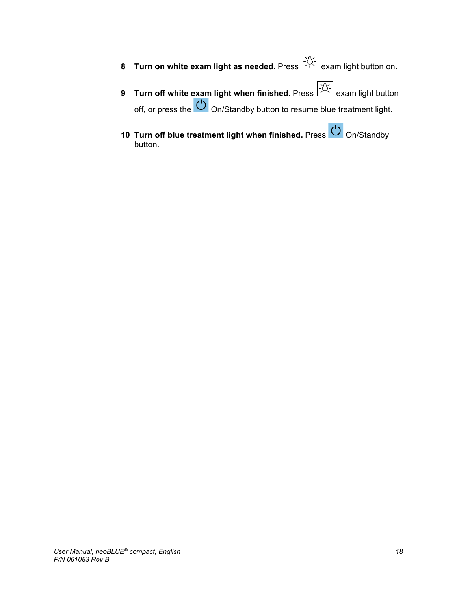- **8 Turn on white exam light as needed**. Press **Fig. 2014** exam light button on.
- **9 Turn off white exam light when finished**. Press  $\frac{2\sqrt{2}}{12}$  exam light button off, or press the On/Standby button to resume blue treatment light.
- 10 **Turn off blue treatment light when finished.** Press **U** On/Standby button.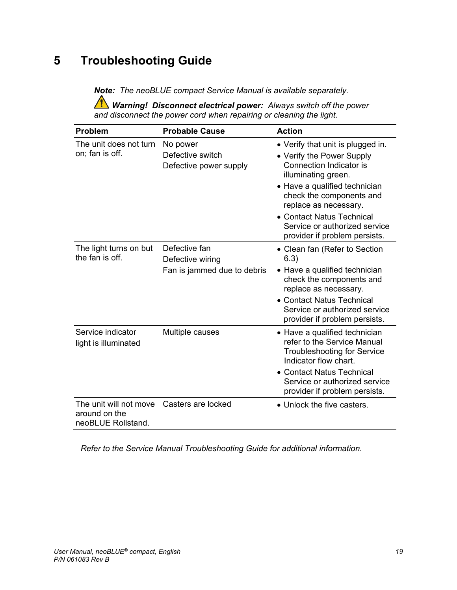# **5 Troubleshooting Guide**

*Note: The neoBLUE compact Service Manual is available separately.* 

*Warning! Disconnect electrical power: Always switch off the power and disconnect the power cord when repairing or cleaning the light.*

| <b>Problem</b>                                                | <b>Probable Cause</b>                                            | <b>Action</b>                                                                                                                                                                                                                                                                                         |
|---------------------------------------------------------------|------------------------------------------------------------------|-------------------------------------------------------------------------------------------------------------------------------------------------------------------------------------------------------------------------------------------------------------------------------------------------------|
| The unit does not turn<br>on; fan is off.                     | No power<br>Defective switch<br>Defective power supply           | • Verify that unit is plugged in.<br>• Verify the Power Supply<br>Connection Indicator is<br>illuminating green.<br>• Have a qualified technician<br>check the components and<br>replace as necessary.<br>• Contact Natus Technical<br>Service or authorized service<br>provider if problem persists. |
| The light turns on but<br>the fan is off.                     | Defective fan<br>Defective wiring<br>Fan is jammed due to debris | • Clean fan (Refer to Section<br>6.3)<br>• Have a qualified technician<br>check the components and<br>replace as necessary.<br>• Contact Natus Technical<br>Service or authorized service<br>provider if problem persists.                                                                            |
| Service indicator<br>light is illuminated                     | Multiple causes                                                  | • Have a qualified technician<br>refer to the Service Manual<br><b>Troubleshooting for Service</b><br>Indicator flow chart.<br>• Contact Natus Technical<br>Service or authorized service<br>provider if problem persists.                                                                            |
| The unit will not move<br>around on the<br>neoBLUE Rollstand. | Casters are locked                                               | • Unlock the five casters.                                                                                                                                                                                                                                                                            |

*Refer to the Service Manual Troubleshooting Guide for additional information.*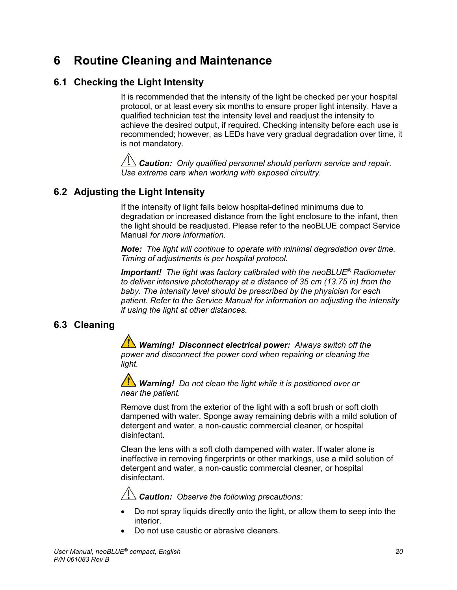# **6 Routine Cleaning and Maintenance**

# **6.1 Checking the Light Intensity**

It is recommended that the intensity of the light be checked per your hospital protocol, or at least every six months to ensure proper light intensity. Have a qualified technician test the intensity level and readjust the intensity to achieve the desired output, if required. Checking intensity before each use is recommended; however, as LEDs have very gradual degradation over time, it is not mandatory.

*Caution: Only qualified personnel should perform service and repair. Use extreme care when working with exposed circuitry.*

# **6.2 Adjusting the Light Intensity**

If the intensity of light falls below hospital-defined minimums due to degradation or increased distance from the light enclosure to the infant, then the light should be readjusted. Please refer to the neoBLUE compact Service Manual *for more information.*

*Note: The light will continue to operate with minimal degradation over time. Timing of adjustments is per hospital protocol.* 

*Important! The light was factory calibrated with the neoBLUE® Radiometer to deliver intensive phototherapy at a distance of 35 cm (13.75 in) from the baby. The intensity level should be prescribed by the physician for each patient. Refer to the Service Manual for information on adjusting the intensity if using the light at other distances.*

# **6.3 Cleaning**

*Warning! Disconnect electrical power: Always switch off the power and disconnect the power cord when repairing or cleaning the light.*

 *Warning! Do not clean the light while it is positioned over or near the patient.*

Remove dust from the exterior of the light with a soft brush or soft cloth dampened with water. Sponge away remaining debris with a mild solution of detergent and water, a non-caustic commercial cleaner, or hospital disinfectant.

Clean the lens with a soft cloth dampened with water. If water alone is ineffective in removing fingerprints or other markings, use a mild solution of detergent and water, a non-caustic commercial cleaner, or hospital disinfectant.

 *Caution: Observe the following precautions:*

- Do not spray liquids directly onto the light, or allow them to seep into the interior.
- Do not use caustic or abrasive cleaners.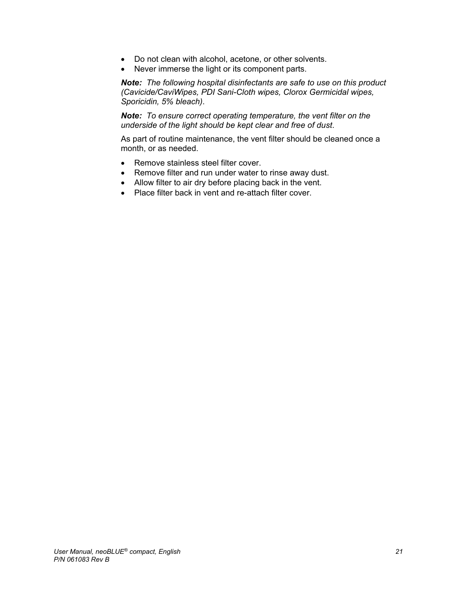- Do not clean with alcohol, acetone, or other solvents.
- Never immerse the light or its component parts.

*Note: The following hospital disinfectants are safe to use on this product (Cavicide/CaviWipes, PDI Sani-Cloth wipes, Clorox Germicidal wipes, Sporicidin, 5% bleach)*.

*Note: To ensure correct operating temperature, the vent filter on the underside of the light should be kept clear and free of dust*.

As part of routine maintenance, the vent filter should be cleaned once a month, or as needed.

- Remove stainless steel filter cover.
- Remove filter and run under water to rinse away dust.
- Allow filter to air dry before placing back in the vent.
- Place filter back in vent and re-attach filter cover.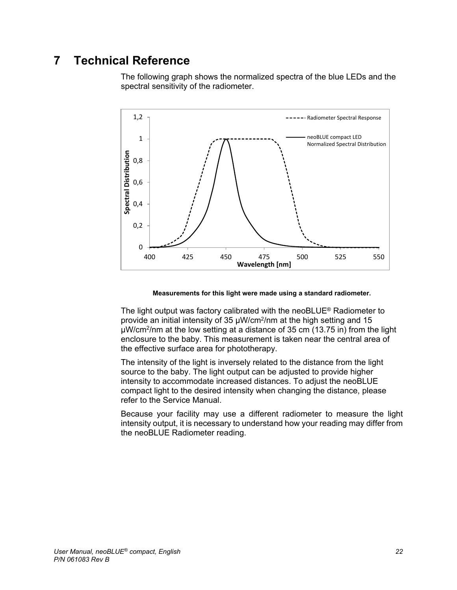# **7 Technical Reference**

The following graph shows the normalized spectra of the blue LEDs and the spectral sensitivity of the radiometer.



**Measurements for this light were made using a standard radiometer.**

The light output was factory calibrated with the neoBLUE® Radiometer to provide an initial intensity of 35 µW/cm2/nm at the high setting and 15 µW/cm2/nm at the low setting at a distance of 35 cm (13.75 in) from the light enclosure to the baby. This measurement is taken near the central area of the effective surface area for phototherapy.

The intensity of the light is inversely related to the distance from the light source to the baby. The light output can be adjusted to provide higher intensity to accommodate increased distances. To adjust the neoBLUE compact light to the desired intensity when changing the distance, please refer to the Service Manual.

Because your facility may use a different radiometer to measure the light intensity output, it is necessary to understand how your reading may differ from the neoBLUE Radiometer reading.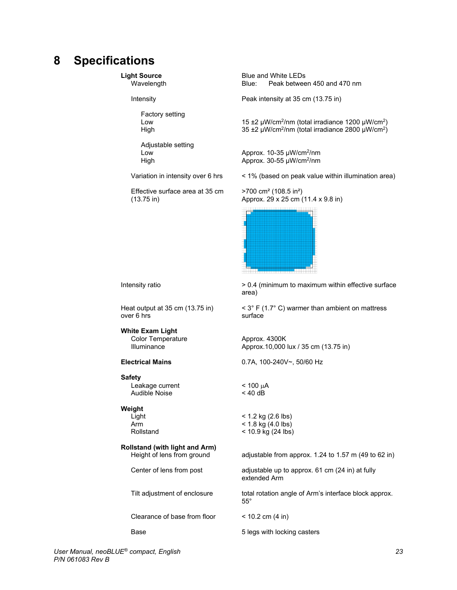# **8 Specifications**

Factory setting

Adjustable setting

Effective surface area at 35 cm >700 cm² (108.5 in²)

**Light Source** Blue and White LEDs<br>Wavelength Blue: Peak betwee Peak between 450 and 470 nm

Intensity **Intensity Peak intensity at 35 cm (13.75 in)** 

Low 15 ±2 µW/cm<sup>2</sup>/nm (total irradiance 1200 µW/cm<sup>2</sup>) High  $35 \pm 2 \mu W/cm^2/nm$  (total irradiance 2800  $\mu W/cm^2$ )

Low  $\mu$  Approx. 10-35  $\mu$ W/cm<sup>2</sup>/nm<br>High  $\mu$  Approx. 30-55  $\mu$ W/cm<sup>2</sup>/nm Approx. 30-55  $\mu$ W/cm<sup>2</sup>/nm

Variation in intensity over 6 hrs < 1% (based on peak value within illumination area)

(13.75 in) Approx. 29 x 25 cm (11.4 x 9.8 in)



over  $6$  hrs

**White Exam Light** Color Temperature **Approx. 4300K**<br>Illuminance **Approx. 10.000** 

**Safety**

Leakage current  $\sim$  400  $\mu$ A and  $\sim$  40 dB Audible Noise

#### **Weight**

**Rollstand (with light and Arm)**

Clearance of base from floor < 10.2 cm (4 in)

Intensity ratio **being the surface** > 0.4 (minimum to maximum within effective surface area)

Heat output at 35 cm (13.75 in)  $\leq 3^{\circ}$  F (1.7° C) warmer than ambient on mattress over 6 hrs

Approx.10,000 lux / 35 cm (13.75 in)

**Electrical Mains** 0.7A, 100-240V~, 50/60 Hz

Light < 1.2 kg (2.6 lbs)<br>Arm < 1.8 kg (4.0 lbs) Arm < 1.8 kg (4.0 lbs)<br>Rollstand < 10.9 kg (24 lbs)  $<$  10.9 kg (24 lbs)

adjustable from approx. 1.24 to 1.57 m (49 to 62 in)

Center of lens from post adjustable up to approx. 61 cm (24 in) at fully extended Arm

Tilt adjustment of enclosure total rotation angle of Arm's interface block approx. 55°

Base **6 and 1** and 5 legs with locking casters